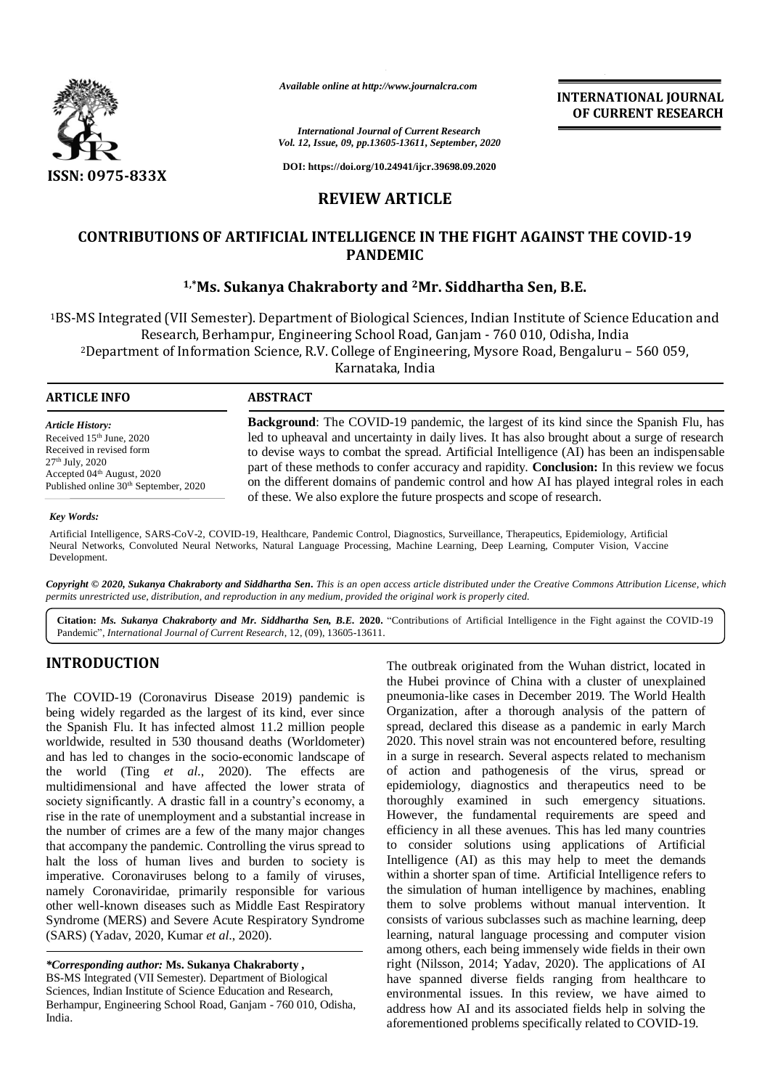

*Available online at http://www.journalcra.com*

**INTERNATIONAL JOURNAL OF CURRENT RESEARCH**

*International Journal of Current Research Vol. 12, Issue, 09, pp.13605-13611, September, 2020*

**DOI: https://doi.org/10.24941/ijcr.39698.09.2020**

# **REVIEW ARTICLE**

# **CONTRIBUTIONS OF ARTIFICIAL INTELLIGENCE IN THE FIGHT AGAINST THE COVID-19 PANDEMIC**

## **1,\*Ms. Sukanya Chakraborty and 2Mr. Siddhartha Sen, B.E.**

<sup>1</sup>BS-MS Integrated (VII Semester). Department of Biological Sciences, Indian Institute of Science Education and Research, Berhampur, Engineering School Road, Ganjam - 760 010, Odisha, India <sup>2</sup>Department of Information Science, R.V. College of Engineering, Mysore Road, Bengaluru – 560 059,

Karnataka, India

| <b>ARTICLE INFO</b> |  |
|---------------------|--|
|---------------------|--|

# **ARTICLE INFO ABSTRACT**

*Article History:* Received 15th June, 2020 Received in revised form 27th July, 2020 Accepted 04th August, 2020 Published online 30<sup>th</sup> September, 2020

**Background**: The COVID-19 pandemic, the largest of its kind since the Spanish Flu, has led to upheaval and uncertainty in daily lives. It has also brought about a surge of research to devise ways to combat the spread. Artificial Intelligence (AI) has been an indispensable part of these methods to confer accuracy and rapidity. **Conclusion:** In this review we focus on the different domains of pandemic control and how AI has played integral roles in each of these. We also explore the future prospects and scope of research.

#### *Key Words:*

Artificial Intelligence, SARS-CoV-2, COVID-19, Healthcare, Pandemic Control, Diagnostics, Surveillance, Therapeutics, Epidemiology, Artificial Neural Networks, Convoluted Neural Networks, Natural Language Processing, Machine Learning, Deep Learning, Computer Vision, Vaccine Development.

Copyright © 2020, Sukanya Chakraborty and Siddhartha Sen. This is an open access article distributed under the Creative Commons Attribution License, which permits unrestricted use, distribution, and reproduction in any medium, provided the original work is properly cited.

**Citation:** *Ms. Sukanya Chakraborty and Mr. Siddhartha Sen, B.E.* **2020.** "Contributions of Artificial Intelligence in the Fight against the COVID-19 Pandemic", *International Journal of Current Research*, 12, (09), 13605-13611.

## **INTRODUCTION**

The COVID-19 (Coronavirus Disease 2019) pandemic is being widely regarded as the largest of its kind, ever since the Spanish Flu. It has infected almost 11.2 million people worldwide, resulted in 530 thousand deaths (Worldometer) and has led to changes in the socio-economic landscape of the world (Ting *et al*., 2020). The effects are multidimensional and have affected the lower strata of society significantly. A drastic fall in a country's economy, a rise in the rate of unemployment and a substantial increase in the number of crimes are a few of the many major changes that accompany the pandemic. Controlling the virus spread to halt the loss of human lives and burden to society is imperative. Coronaviruses belong to a family of viruses, namely Coronaviridae, primarily responsible for various other well-known diseases such as Middle East Respiratory Syndrome (MERS) and Severe Acute Respiratory Syndrome (SARS) (Yadav, 2020, Kumar *et al*., 2020).

*\*Corresponding author:* **Ms. Sukanya Chakraborty ,**

BS-MS Integrated (VII Semester). Department of Biological Sciences, Indian Institute of Science Education and Research, Berhampur, Engineering School Road, Ganjam - 760 010, Odisha, India.

The outbreak originated from the Wuhan district, located in the Hubei province of China with a cluster of unexplained pneumonia-like cases in December 2019. The World Health Organization, after a thorough analysis of the pattern of spread, declared this disease as a pandemic in early March 2020. This novel strain was not encountered before, resulting in a surge in research. Several aspects related to mechanism of action and pathogenesis of the virus, spread or epidemiology, diagnostics and therapeutics need to be thoroughly examined in such emergency situations. However, the fundamental requirements are speed and efficiency in all these avenues. This has led many countries to consider solutions using applications of Artificial Intelligence (AI) as this may help to meet the demands within a shorter span of time. Artificial Intelligence refers to the simulation of human intelligence by machines, enabling them to solve problems without manual intervention. It consists of various subclasses such as machine learning, deep learning, natural language processing and computer vision among others, each being immensely wide fields in their own right (Nilsson, 2014; Yadav, 2020). The applications of AI have spanned diverse fields ranging from healthcare to environmental issues. In this review, we have aimed to address how AI and its associated fields help in solving the aforementioned problems specifically related to COVID-19.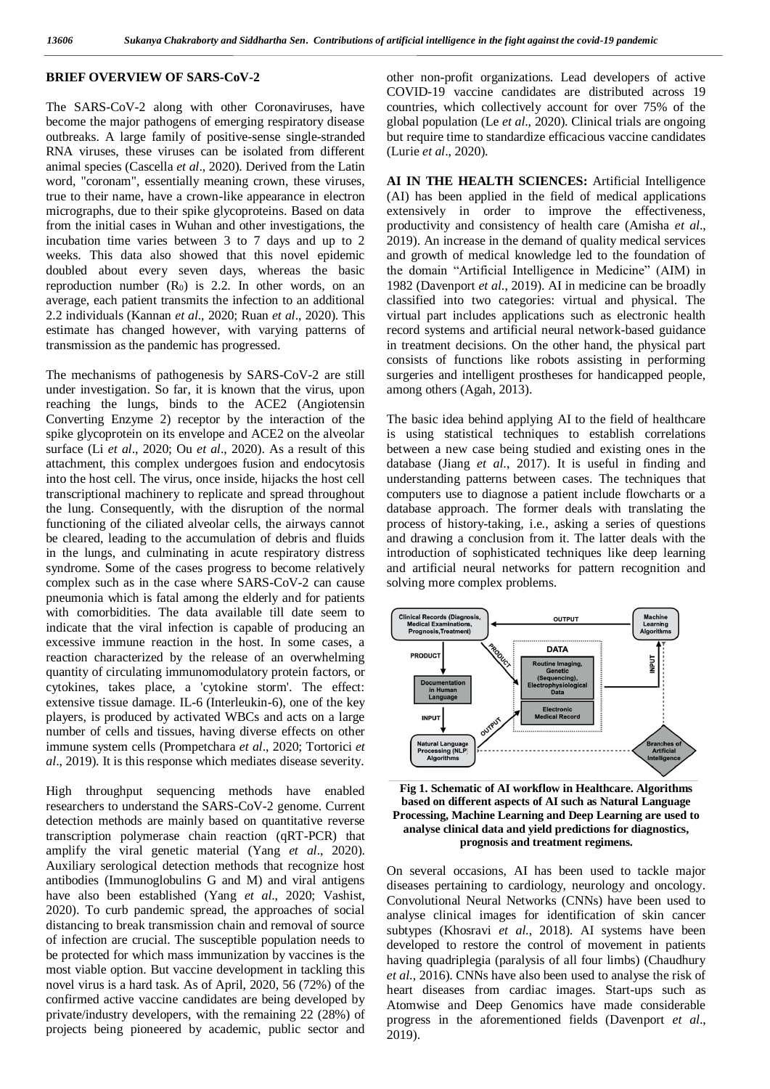#### **BRIEF OVERVIEW OF SARS-CoV-2**

The SARS-CoV-2 along with other Coronaviruses, have become the major pathogens of emerging respiratory disease outbreaks. A large family of positive-sense single-stranded RNA viruses, these viruses can be isolated from different animal species (Cascella *et al*., 2020). Derived from the Latin word, "coronam", essentially meaning crown, these viruses, true to their name, have a crown-like appearance in electron micrographs, due to their spike glycoproteins. Based on data from the initial cases in Wuhan and other investigations, the incubation time varies between 3 to 7 days and up to 2 weeks. This data also showed that this novel epidemic doubled about every seven days, whereas the basic reproduction number  $(R_0)$  is 2.2. In other words, on an average, each patient transmits the infection to an additional 2.2 individuals (Kannan *et al*., 2020; Ruan *et al*., 2020). This estimate has changed however, with varying patterns of transmission as the pandemic has progressed.

The mechanisms of pathogenesis by SARS-CoV-2 are still under investigation. So far, it is known that the virus, upon reaching the lungs, binds to the ACE2 (Angiotensin Converting Enzyme 2) receptor by the interaction of the spike glycoprotein on its envelope and ACE2 on the alveolar surface (Li *et al*., 2020; Ou *et al*., 2020). As a result of this attachment, this complex undergoes fusion and endocytosis into the host cell. The virus, once inside, hijacks the host cell transcriptional machinery to replicate and spread throughout the lung. Consequently, with the disruption of the normal functioning of the ciliated alveolar cells, the airways cannot be cleared, leading to the accumulation of debris and fluids in the lungs, and culminating in acute respiratory distress syndrome. Some of the cases progress to become relatively complex such as in the case where SARS-CoV-2 can cause pneumonia which is fatal among the elderly and for patients with comorbidities. The data available till date seem to indicate that the viral infection is capable of producing an excessive immune reaction in the host. In some cases, a reaction characterized by the release of an overwhelming quantity of circulating immunomodulatory protein factors, or cytokines, takes place, a 'cytokine storm'. The effect: extensive tissue damage. IL-6 (Interleukin-6), one of the key players, is produced by activated WBCs and acts on a large number of cells and tissues, having diverse effects on other immune system cells (Prompetchara *et al*., 2020; Tortorici *et al*., 2019). It is this response which mediates disease severity.

High throughput sequencing methods have enabled researchers to understand the SARS-CoV-2 genome. Current detection methods are mainly based on quantitative reverse transcription polymerase chain reaction (qRT-PCR) that amplify the viral genetic material (Yang *et al*., 2020). Auxiliary serological detection methods that recognize host antibodies (Immunoglobulins G and M) and viral antigens have also been established (Yang *et al*., 2020; Vashist, 2020). To curb pandemic spread, the approaches of social distancing to break transmission chain and removal of source of infection are crucial. The susceptible population needs to be protected for which mass immunization by vaccines is the most viable option. But vaccine development in tackling this novel virus is a hard task. As of April, 2020, 56 (72%) of the confirmed active vaccine candidates are being developed by private/industry developers, with the remaining 22 (28%) of projects being pioneered by academic, public sector and

other non-profit organizations. Lead developers of active COVID-19 vaccine candidates are distributed across 19 countries, which collectively account for over 75% of the global population (Le *et al*., 2020). Clinical trials are ongoing but require time to standardize efficacious vaccine candidates (Lurie *et al*., 2020).

**AI IN THE HEALTH SCIENCES:** Artificial Intelligence (AI) has been applied in the field of medical applications extensively in order to improve the effectiveness, productivity and consistency of health care (Amisha *et al*., 2019). An increase in the demand of quality medical services and growth of medical knowledge led to the foundation of the domain "Artificial Intelligence in Medicine" (AIM) in 1982 (Davenport *et al*., 2019). AI in medicine can be broadly classified into two categories: virtual and physical. The virtual part includes applications such as electronic health record systems and artificial neural network-based guidance in treatment decisions. On the other hand, the physical part consists of functions like robots assisting in performing surgeries and intelligent prostheses for handicapped people, among others (Agah, 2013).

The basic idea behind applying AI to the field of healthcare is using statistical techniques to establish correlations between a new case being studied and existing ones in the database (Jiang *et al*., 2017). It is useful in finding and understanding patterns between cases. The techniques that computers use to diagnose a patient include flowcharts or a database approach. The former deals with translating the process of history-taking, i.e., asking a series of questions and drawing a conclusion from it. The latter deals with the introduction of sophisticated techniques like deep learning and artificial neural networks for pattern recognition and solving more complex problems.



**Fig 1. Schematic of AI workflow in Healthcare. Algorithms based on different aspects of AI such as Natural Language Processing, Machine Learning and Deep Learning are used to analyse clinical data and yield predictions for diagnostics, prognosis and treatment regimens.** 

On several occasions, AI has been used to tackle major diseases pertaining to cardiology, neurology and oncology. Convolutional Neural Networks (CNNs) have been used to analyse clinical images for identification of skin cancer subtypes (Khosravi *et al*., 2018). AI systems have been developed to restore the control of movement in patients having quadriplegia (paralysis of all four limbs) (Chaudhury *et al*., 2016). CNNs have also been used to analyse the risk of heart diseases from cardiac images. Start-ups such as Atomwise and Deep Genomics have made considerable progress in the aforementioned fields (Davenport *et al*., 2019).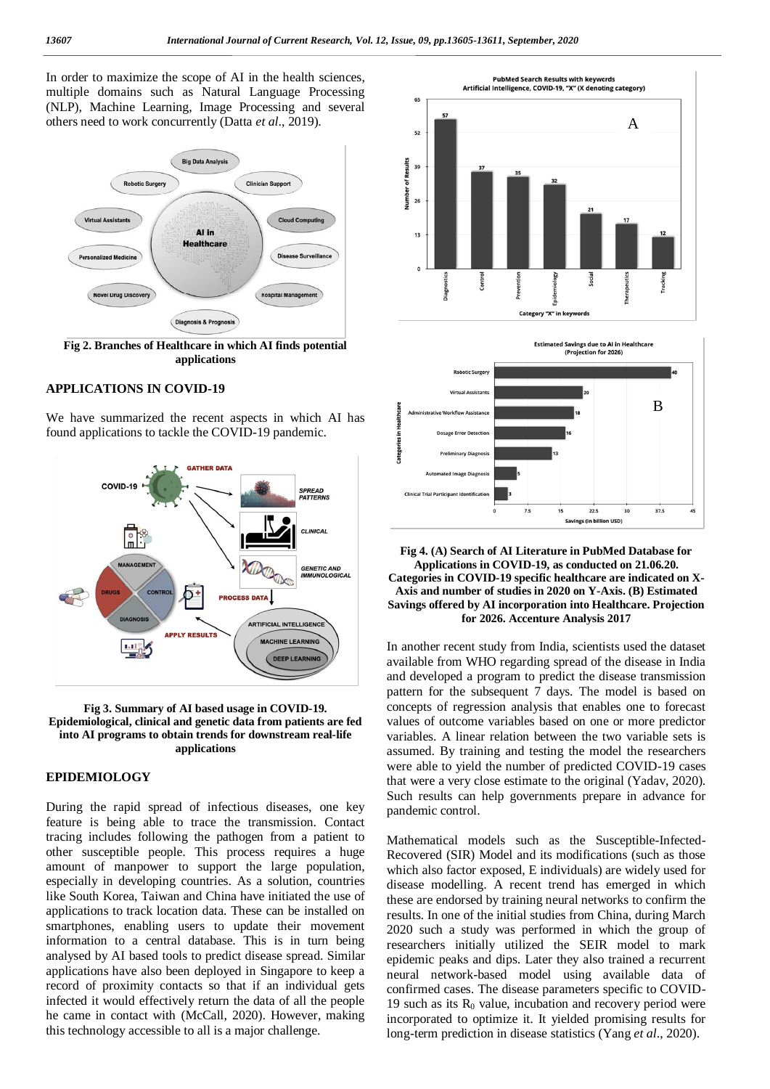In order to maximize the scope of AI in the health sciences, multiple domains such as Natural Language Processing (NLP), Machine Learning, Image Processing and several others need to work concurrently (Datta *et al*., 2019).



**Fig 2. Branches of Healthcare in which AI finds potential applications**

## **APPLICATIONS IN COVID-19**

We have summarized the recent aspects in which AI has found applications to tackle the COVID-19 pandemic.



**Fig 3. Summary of AI based usage in COVID-19. Epidemiological, clinical and genetic data from patients are fed into AI programs to obtain trends for downstream real-life applications**

### **EPIDEMIOLOGY**

During the rapid spread of infectious diseases, one key feature is being able to trace the transmission. Contact tracing includes following the pathogen from a patient to other susceptible people. This process requires a huge amount of manpower to support the large population, especially in developing countries. As a solution, countries like South Korea, Taiwan and China have initiated the use of applications to track location data. These can be installed on smartphones, enabling users to update their movement information to a central database. This is in turn being analysed by AI based tools to predict disease spread. Similar applications have also been deployed in Singapore to keep a record of proximity contacts so that if an individual gets infected it would effectively return the data of all the people he came in contact with (McCall, 2020). However, making this technology accessible to all is a major challenge.



#### **Fig 4. (A) Search of AI Literature in PubMed Database for Applications in COVID-19, as conducted on 21.06.20. Categories in COVID-19 specific healthcare are indicated on X-Axis and number of studies in 2020 on Y-Axis. (B) Estimated Savings offered by AI incorporation into Healthcare. Projection for 2026. Accenture Analysis 2017**

 $22.5$ 

Savings (in billion USD)

 $\overline{3}$ 

37.5

 $7.5$ 

**Clinical Trial Participant Identifica** 

In another recent study from India, scientists used the dataset available from WHO regarding spread of the disease in India and developed a program to predict the disease transmission pattern for the subsequent 7 days. The model is based on concepts of regression analysis that enables one to forecast values of outcome variables based on one or more predictor variables. A linear relation between the two variable sets is assumed. By training and testing the model the researchers were able to yield the number of predicted COVID-19 cases that were a very close estimate to the original (Yadav, 2020). Such results can help governments prepare in advance for pandemic control.

Mathematical models such as the Susceptible-Infected-Recovered (SIR) Model and its modifications (such as those which also factor exposed, E individuals) are widely used for disease modelling. A recent trend has emerged in which these are endorsed by training neural networks to confirm the results. In one of the initial studies from China, during March 2020 such a study was performed in which the group of researchers initially utilized the SEIR model to mark epidemic peaks and dips. Later they also trained a recurrent neural network-based model using available data of confirmed cases. The disease parameters specific to COVID-19 such as its  $R_0$  value, incubation and recovery period were incorporated to optimize it. It yielded promising results for long-term prediction in disease statistics (Yang *et al*., 2020).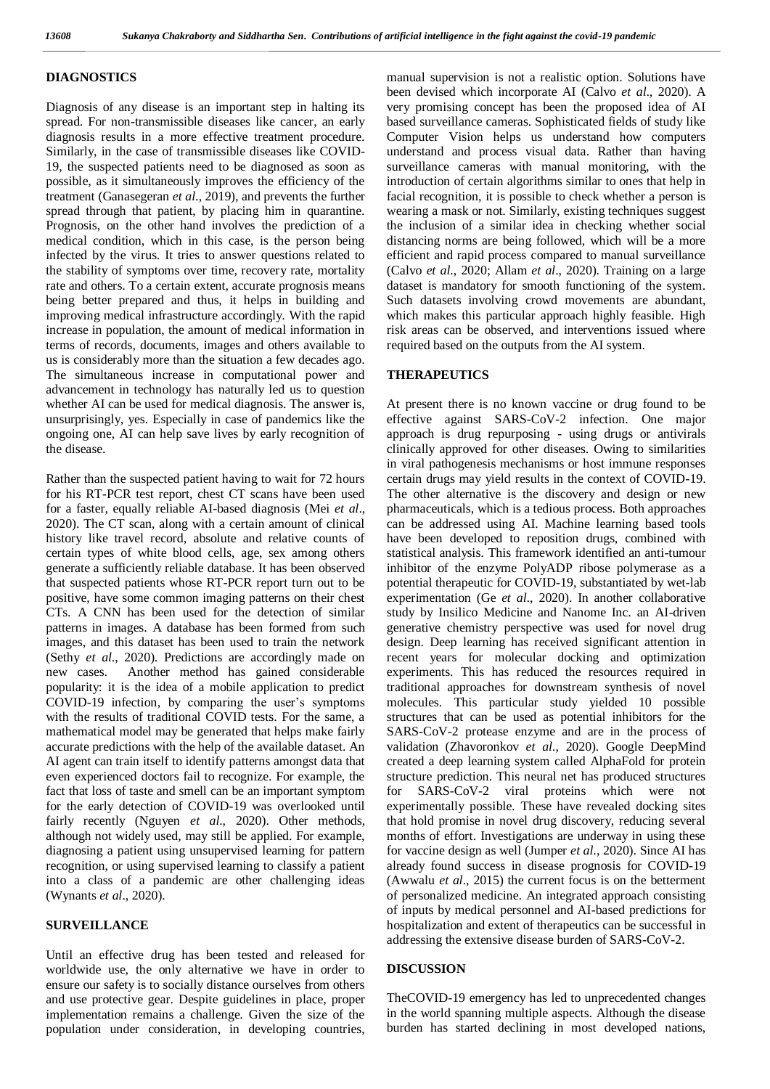#### **DIAGNOSTICS**

Diagnosis of any disease is an important step in halting its spread. For non-transmissible diseases like cancer, an early diagnosis results in a more effective treatment procedure. Similarly, in the case of transmissible diseases like COVID-19, the suspected patients need to be diagnosed as soon as possible, as it simultaneously improves the efficiency of the treatment (Ganasegeran *et al*., 2019), and prevents the further spread through that patient, by placing him in quarantine. Prognosis, on the other hand involves the prediction of a medical condition, which in this case, is the person being infected by the virus. It tries to answer questions related to the stability of symptoms over time, recovery rate, mortality rate and others. To a certain extent, accurate prognosis means being better prepared and thus, it helps in building and improving medical infrastructure accordingly. With the rapid increase in population, the amount of medical information in terms of records, documents, images and others available to us is considerably more than the situation a few decades ago. The simultaneous increase in computational power and advancement in technology has naturally led us to question whether AI can be used for medical diagnosis. The answer is, unsurprisingly, yes. Especially in case of pandemics like the ongoing one, AI can help save lives by early recognition of the disease.

Rather than the suspected patient having to wait for 72 hours for his RT-PCR test report, chest CT scans have been used for a faster, equally reliable AI-based diagnosis (Mei *et al*., 2020). The CT scan, along with a certain amount of clinical history like travel record, absolute and relative counts of certain types of white blood cells, age, sex among others generate a sufficiently reliable database. It has been observed that suspected patients whose RT-PCR report turn out to be positive, have some common imaging patterns on their chest CTs. A CNN has been used for the detection of similar patterns in images. A database has been formed from such images, and this dataset has been used to train the network (Sethy *et al*., 2020). Predictions are accordingly made on new cases. Another method has gained considerable popularity: it is the idea of a mobile application to predict COVID-19 infection, by comparing the user's symptoms with the results of traditional COVID tests. For the same, a mathematical model may be generated that helps make fairly accurate predictions with the help of the available dataset. An AI agent can train itself to identify patterns amongst data that even experienced doctors fail to recognize. For example, the fact that loss of taste and smell can be an important symptom for the early detection of COVID-19 was overlooked until fairly recently (Nguyen *et al*., 2020). Other methods, although not widely used, may still be applied. For example, diagnosing a patient using unsupervised learning for pattern recognition, or using supervised learning to classify a patient into a class of a pandemic are other challenging ideas (Wynants *et al*., 2020).

#### **SURVEILLANCE**

Until an effective drug has been tested and released for worldwide use, the only alternative we have in order to ensure our safety is to socially distance ourselves from others and use protective gear. Despite guidelines in place, proper implementation remains a challenge. Given the size of the population under consideration, in developing countries,

manual supervision is not a realistic option. Solutions have been devised which incorporate AI (Calvo *et al*., 2020). A very promising concept has been the proposed idea of AI based surveillance cameras. Sophisticated fields of study like Computer Vision helps us understand how computers understand and process visual data. Rather than having surveillance cameras with manual monitoring, with the introduction of certain algorithms similar to ones that help in facial recognition, it is possible to check whether a person is wearing a mask or not. Similarly, existing techniques suggest the inclusion of a similar idea in checking whether social distancing norms are being followed, which will be a more efficient and rapid process compared to manual surveillance (Calvo *et al*., 2020; Allam *et al*., 2020). Training on a large dataset is mandatory for smooth functioning of the system. Such datasets involving crowd movements are abundant, which makes this particular approach highly feasible. High risk areas can be observed, and interventions issued where required based on the outputs from the AI system.

## **THERAPEUTICS**

At present there is no known vaccine or drug found to be effective against SARS-CoV-2 infection. One major approach is drug repurposing - using drugs or antivirals clinically approved for other diseases. Owing to similarities in viral pathogenesis mechanisms or host immune responses certain drugs may yield results in the context of COVID-19. The other alternative is the discovery and design or new pharmaceuticals, which is a tedious process. Both approaches can be addressed using AI. Machine learning based tools have been developed to reposition drugs, combined with statistical analysis. This framework identified an anti-tumour inhibitor of the enzyme PolyADP ribose polymerase as a potential therapeutic for COVID-19, substantiated by wet-lab experimentation (Ge *et al*., 2020). In another collaborative study by Insilico Medicine and Nanome Inc. an AI-driven generative chemistry perspective was used for novel drug design. Deep learning has received significant attention in recent years for molecular docking and optimization experiments. This has reduced the resources required in traditional approaches for downstream synthesis of novel molecules. This particular study yielded 10 possible structures that can be used as potential inhibitors for the SARS-CoV-2 protease enzyme and are in the process of validation (Zhavoronkov *et al*., 2020). Google DeepMind created a deep learning system called AlphaFold for protein structure prediction. This neural net has produced structures for SARS-CoV-2 viral proteins which were not experimentally possible. These have revealed docking sites that hold promise in novel drug discovery, reducing several months of effort. Investigations are underway in using these for vaccine design as well (Jumper *et al*., 2020). Since AI has already found success in disease prognosis for COVID-19 (Awwalu *et al*., 2015) the current focus is on the betterment of personalized medicine. An integrated approach consisting of inputs by medical personnel and AI-based predictions for hospitalization and extent of therapeutics can be successful in addressing the extensive disease burden of SARS-CoV-2.

#### **DISCUSSION**

TheCOVID-19 emergency has led to unprecedented changes in the world spanning multiple aspects. Although the disease burden has started declining in most developed nations,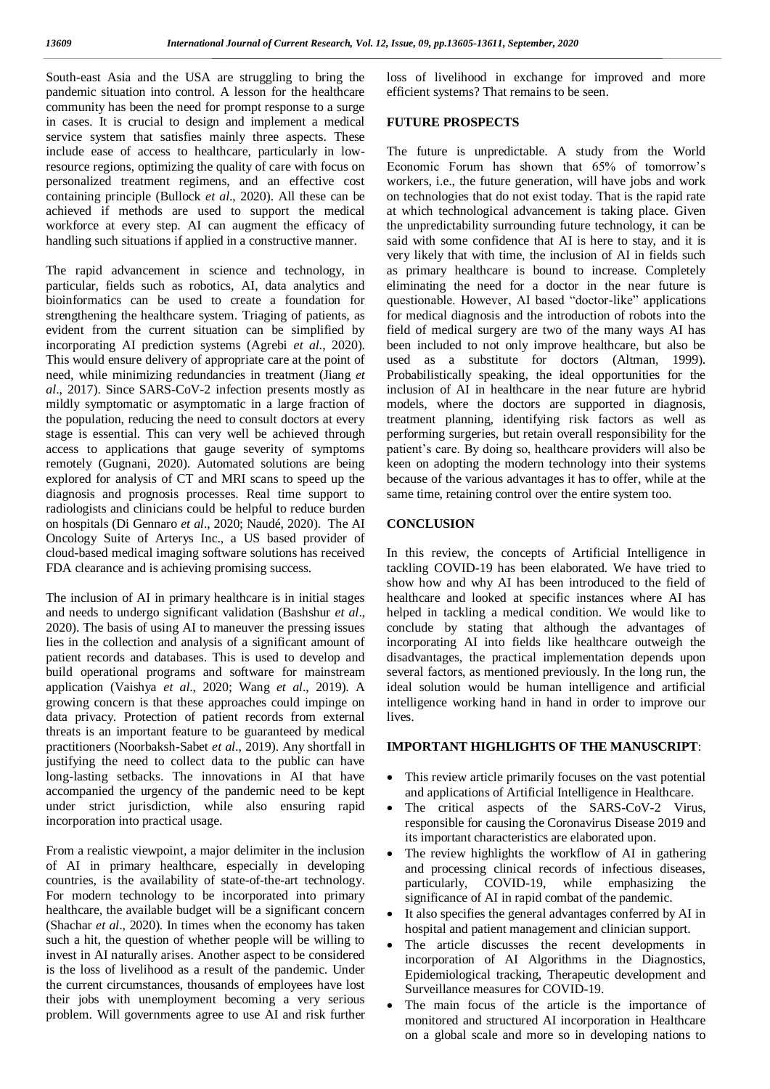South-east Asia and the USA are struggling to bring the pandemic situation into control. A lesson for the healthcare community has been the need for prompt response to a surge in cases. It is crucial to design and implement a medical service system that satisfies mainly three aspects. These include ease of access to healthcare, particularly in lowresource regions, optimizing the quality of care with focus on personalized treatment regimens, and an effective cost containing principle (Bullock *et al*., 2020). All these can be achieved if methods are used to support the medical workforce at every step. AI can augment the efficacy of handling such situations if applied in a constructive manner.

The rapid advancement in science and technology, in particular, fields such as robotics, AI, data analytics and bioinformatics can be used to create a foundation for strengthening the healthcare system. Triaging of patients, as evident from the current situation can be simplified by incorporating AI prediction systems (Agrebi *et al*., 2020). This would ensure delivery of appropriate care at the point of need, while minimizing redundancies in treatment (Jiang *et al*., 2017). Since SARS-CoV-2 infection presents mostly as mildly symptomatic or asymptomatic in a large fraction of the population, reducing the need to consult doctors at every stage is essential. This can very well be achieved through access to applications that gauge severity of symptoms remotely (Gugnani, 2020). Automated solutions are being explored for analysis of CT and MRI scans to speed up the diagnosis and prognosis processes. Real time support to radiologists and clinicians could be helpful to reduce burden on hospitals (Di Gennaro *et al*., 2020; Naudé, 2020). The AI Oncology Suite of Arterys Inc., a US based provider of cloud-based medical imaging software solutions has received FDA clearance and is achieving promising success.

The inclusion of AI in primary healthcare is in initial stages and needs to undergo significant validation (Bashshur *et al*., 2020). The basis of using AI to maneuver the pressing issues lies in the collection and analysis of a significant amount of patient records and databases. This is used to develop and build operational programs and software for mainstream application (Vaishya *et al*., 2020; Wang *et al*., 2019). A growing concern is that these approaches could impinge on data privacy. Protection of patient records from external threats is an important feature to be guaranteed by medical practitioners (Noorbaksh-Sabet *et al*., 2019). Any shortfall in justifying the need to collect data to the public can have long-lasting setbacks. The innovations in AI that have accompanied the urgency of the pandemic need to be kept under strict jurisdiction, while also ensuring rapid incorporation into practical usage.

From a realistic viewpoint, a major delimiter in the inclusion of AI in primary healthcare, especially in developing countries, is the availability of state-of-the-art technology. For modern technology to be incorporated into primary healthcare, the available budget will be a significant concern (Shachar *et al*., 2020). In times when the economy has taken such a hit, the question of whether people will be willing to invest in AI naturally arises. Another aspect to be considered is the loss of livelihood as a result of the pandemic. Under the current circumstances, thousands of employees have lost their jobs with unemployment becoming a very serious problem. Will governments agree to use AI and risk further loss of livelihood in exchange for improved and more efficient systems? That remains to be seen.

#### **FUTURE PROSPECTS**

The future is unpredictable. A study from the World Economic Forum has shown that 65% of tomorrow's workers, i.e., the future generation, will have jobs and work on technologies that do not exist today. That is the rapid rate at which technological advancement is taking place. Given the unpredictability surrounding future technology, it can be said with some confidence that AI is here to stay, and it is very likely that with time, the inclusion of AI in fields such as primary healthcare is bound to increase. Completely eliminating the need for a doctor in the near future is questionable. However, AI based "doctor-like" applications for medical diagnosis and the introduction of robots into the field of medical surgery are two of the many ways AI has been included to not only improve healthcare, but also be used as a substitute for doctors (Altman, 1999). Probabilistically speaking, the ideal opportunities for the inclusion of AI in healthcare in the near future are hybrid models, where the doctors are supported in diagnosis, treatment planning, identifying risk factors as well as performing surgeries, but retain overall responsibility for the patient's care. By doing so, healthcare providers will also be keen on adopting the modern technology into their systems because of the various advantages it has to offer, while at the same time, retaining control over the entire system too.

### **CONCLUSION**

In this review, the concepts of Artificial Intelligence in tackling COVID-19 has been elaborated. We have tried to show how and why AI has been introduced to the field of healthcare and looked at specific instances where AI has helped in tackling a medical condition. We would like to conclude by stating that although the advantages of incorporating AI into fields like healthcare outweigh the disadvantages, the practical implementation depends upon several factors, as mentioned previously. In the long run, the ideal solution would be human intelligence and artificial intelligence working hand in hand in order to improve our lives.

## **IMPORTANT HIGHLIGHTS OF THE MANUSCRIPT**:

- This review article primarily focuses on the vast potential and applications of Artificial Intelligence in Healthcare.
- The critical aspects of the SARS-CoV-2 Virus, responsible for causing the Coronavirus Disease 2019 and its important characteristics are elaborated upon.
- The review highlights the workflow of AI in gathering and processing clinical records of infectious diseases, particularly, COVID-19, while emphasizing the significance of AI in rapid combat of the pandemic.
- It also specifies the general advantages conferred by AI in hospital and patient management and clinician support.
- The article discusses the recent developments in incorporation of AI Algorithms in the Diagnostics, Epidemiological tracking, Therapeutic development and Surveillance measures for COVID-19.
- The main focus of the article is the importance of monitored and structured AI incorporation in Healthcare on a global scale and more so in developing nations to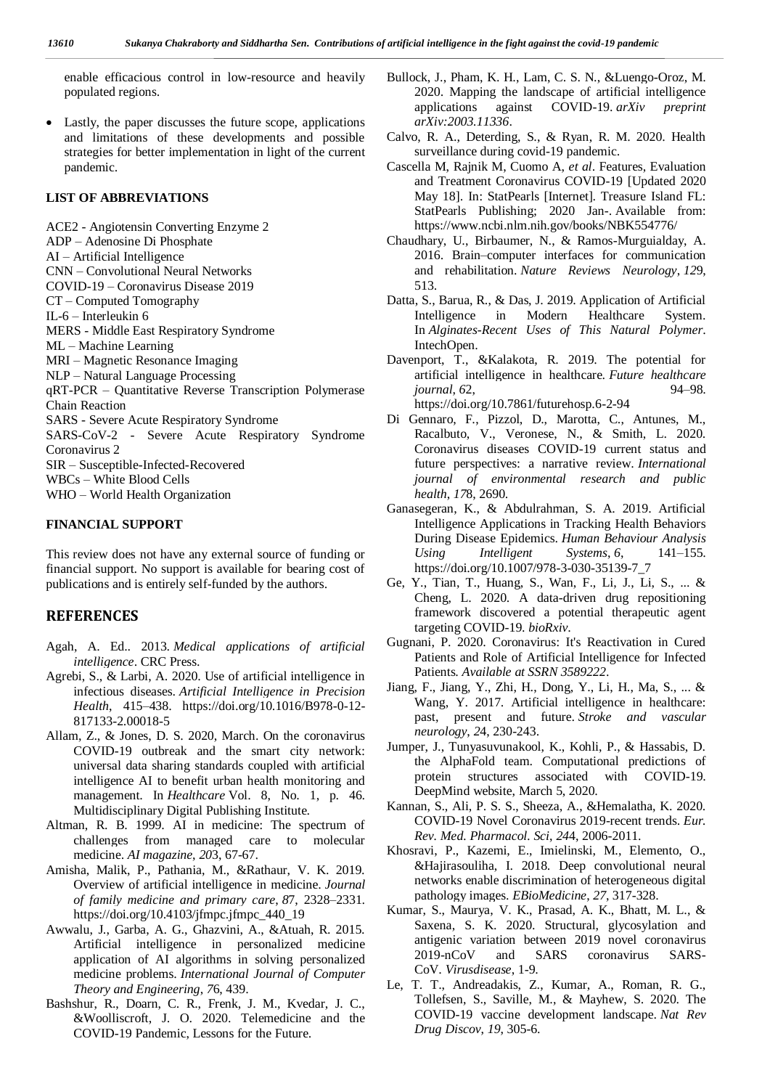enable efficacious control in low-resource and heavily populated regions.

 Lastly, the paper discusses the future scope, applications and limitations of these developments and possible strategies for better implementation in light of the current pandemic.

#### **LIST OF ABBREVIATIONS**

ACE2 - Angiotensin Converting Enzyme 2 ADP – Adenosine Di Phosphate AI – Artificial Intelligence CNN – Convolutional Neural Networks COVID-19 – Coronavirus Disease 2019 CT – Computed Tomography IL-6 – Interleukin 6 MERS - Middle East Respiratory Syndrome ML – Machine Learning MRI – Magnetic Resonance Imaging NLP – Natural Language Processing qRT-PCR – Quantitative Reverse Transcription Polymerase Chain Reaction SARS - Severe Acute Respiratory Syndrome SARS-CoV-2 - Severe Acute Respiratory Syndrome Coronavirus 2 SIR – Susceptible-Infected-Recovered WBCs – White Blood Cells WHO – World Health Organization

#### **FINANCIAL SUPPORT**

This review does not have any external source of funding or financial support. No support is available for bearing cost of publications and is entirely self-funded by the authors.

## **REFERENCES**

- Agah, A. Ed.. 2013. *Medical applications of artificial intelligence*. CRC Press.
- Agrebi, S., & Larbi, A. 2020. Use of artificial intelligence in infectious diseases. *Artificial Intelligence in Precision Health*, 415–438. https://doi.org/10.1016/B978-0-12- 817133-2.00018-5
- Allam, Z., & Jones, D. S. 2020, March. On the coronavirus COVID-19 outbreak and the smart city network: universal data sharing standards coupled with artificial intelligence AI to benefit urban health monitoring and management. In *Healthcare* Vol. 8, No. 1, p. 46. Multidisciplinary Digital Publishing Institute.
- Altman, R. B. 1999. AI in medicine: The spectrum of challenges from managed care to molecular medicine. *AI magazine*, *20*3, 67-67.
- Amisha, Malik, P., Pathania, M., &Rathaur, V. K. 2019. Overview of artificial intelligence in medicine. *Journal of family medicine and primary care*, *8*7, 2328–2331. https://doi.org/10.4103/jfmpc.jfmpc\_440\_19
- Awwalu, J., Garba, A. G., Ghazvini, A., &Atuah, R. 2015. Artificial intelligence in personalized medicine application of AI algorithms in solving personalized medicine problems. *International Journal of Computer Theory and Engineering*, *7*6, 439.
- Bashshur, R., Doarn, C. R., Frenk, J. M., Kvedar, J. C., &Woolliscroft, J. O. 2020. Telemedicine and the COVID-19 Pandemic, Lessons for the Future.
- Bullock, J., Pham, K. H., Lam, C. S. N., &Luengo-Oroz, M. 2020. Mapping the landscape of artificial intelligence applications against COVID-19. *arXiv preprint arXiv:2003.11336*.
- Calvo, R. A., Deterding, S., & Ryan, R. M. 2020. Health surveillance during covid-19 pandemic.
- Cascella M, Rajnik M, Cuomo A, *et al*. Features, Evaluation and Treatment Coronavirus COVID-19 [Updated 2020 May 18]. In: StatPearls [Internet]. Treasure Island FL: StatPearls Publishing; 2020 Jan-. Available from: https://www.ncbi.nlm.nih.gov/books/NBK554776/
- Chaudhary, U., Birbaumer, N., & Ramos-Murguialday, A. 2016. Brain–computer interfaces for communication and rehabilitation. *Nature Reviews Neurology*, *12*9, 513.
- Datta, S., Barua, R., & Das, J. 2019. Application of Artificial Intelligence in Modern Healthcare System. In *Alginates-Recent Uses of This Natural Polymer*. IntechOpen.
- Davenport, T., &Kalakota, R. 2019. The potential for artificial intelligence in healthcare. *Future healthcare journal*, *6*2, 94–98. https://doi.org/10.7861/futurehosp.6-2-94
- Di Gennaro, F., Pizzol, D., Marotta, C., Antunes, M., Racalbuto, V., Veronese, N., & Smith, L. 2020. Coronavirus diseases COVID-19 current status and future perspectives: a narrative review. *International journal of environmental research and public health*, *17*8, 2690.
- Ganasegeran, K., & Abdulrahman, S. A. 2019. Artificial Intelligence Applications in Tracking Health Behaviors During Disease Epidemics. *Human Behaviour Analysis Using Intelligent Systems*, *6*, 141–155. https://doi.org/10.1007/978-3-030-35139-7\_7
- Ge, Y., Tian, T., Huang, S., Wan, F., Li, J., Li, S., ... & Cheng, L. 2020. A data-driven drug repositioning framework discovered a potential therapeutic agent targeting COVID-19. *bioRxiv*.
- Gugnani, P. 2020. Coronavirus: It's Reactivation in Cured Patients and Role of Artificial Intelligence for Infected Patients. *Available at SSRN 3589222*.
- Jiang, F., Jiang, Y., Zhi, H., Dong, Y., Li, H., Ma, S., ... & Wang, Y. 2017. Artificial intelligence in healthcare: past, present and future. *Stroke and vascular neurology*, *2*4, 230-243.
- Jumper, J., Tunyasuvunakool, K., Kohli, P., & Hassabis, D. the AlphaFold team. Computational predictions of protein structures associated with COVID-19. DeepMind website, March 5, 2020.
- Kannan, S., Ali, P. S. S., Sheeza, A., &Hemalatha, K. 2020. COVID-19 Novel Coronavirus 2019-recent trends. *Eur. Rev. Med. Pharmacol. Sci*, *24*4, 2006-2011.
- Khosravi, P., Kazemi, E., Imielinski, M., Elemento, O., &Hajirasouliha, I. 2018. Deep convolutional neural networks enable discrimination of heterogeneous digital pathology images. *EBioMedicine*, *27*, 317-328.
- Kumar, S., Maurya, V. K., Prasad, A. K., Bhatt, M. L., & Saxena, S. K. 2020. Structural, glycosylation and antigenic variation between 2019 novel coronavirus 2019-nCoV and SARS coronavirus SARS-CoV. *Virusdisease*, 1-9.
- Le, T. T., Andreadakis, Z., Kumar, A., Roman, R. G., Tollefsen, S., Saville, M., & Mayhew, S. 2020. The COVID-19 vaccine development landscape. *Nat Rev Drug Discov*, *19*, 305-6.